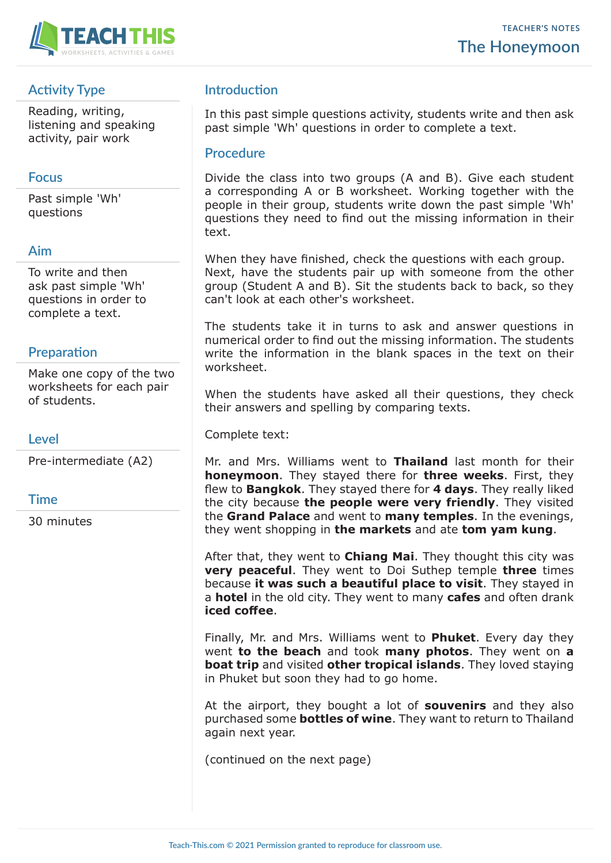

# **Activity Type**

Reading, writing, listening and speaking activity, pair work

#### **Focus**

Past simple 'Wh' questions

## **Aim**

To write and then ask past simple 'Wh' questions in order to complete a text.

#### **Preparation**

Make one copy of the two worksheets for each pair of students.

#### **Level**

Pre-intermediate (A2)

#### **Time**

30 minutes

# **Introduction**

In this past simple questions activity, students write and then ask past simple 'Wh' questions in order to complete a text.

#### **Procedure**

Divide the class into two groups (A and B). Give each student a corresponding A or B worksheet. Working together with the people in their group, students write down the past simple 'Wh' questions they need to find out the missing information in their text.

When they have finished, check the questions with each group. Next, have the students pair up with someone from the other group (Student A and B). Sit the students back to back, so they can't look at each other's worksheet.

The students take it in turns to ask and answer questions in numerical order to find out the missing information. The students write the information in the blank spaces in the text on their worksheet.

When the students have asked all their questions, they check their answers and spelling by comparing texts.

Complete text:

Mr. and Mrs. Williams went to **Thailand** last month for their **honeymoon**. They stayed there for **three weeks**. First, they flew to **Bangkok**. They stayed there for **4 days**. They really liked the city because **the people were very friendly**. They visited the **Grand Palace** and went to **many temples**. In the evenings, they went shopping in **the markets** and ate **tom yam kung**.

After that, they went to **Chiang Mai**. They thought this city was **very peaceful**. They went to Doi Suthep temple **three** times because **it was such a beautiful place to visit**. They stayed in a **hotel** in the old city. They went to many **cafes** and often drank **iced coffee**.

Finally, Mr. and Mrs. Williams went to **Phuket**. Every day they went **to the beach** and took **many photos**. They went on **a boat trip** and visited **other tropical islands**. They loved staying in Phuket but soon they had to go home.

At the airport, they bought a lot of **souvenirs** and they also purchased some **bottles of wine**. They want to return to Thailand again next year.

(continued on the next page)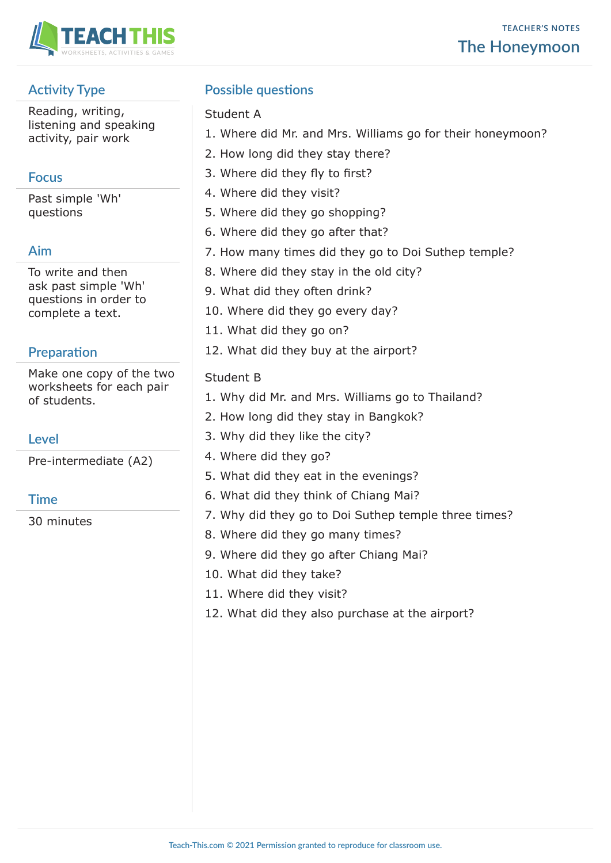

# **Activity Type**

Reading, writing, listening and speaking activity, pair work

# **Focus**

Past simple 'Wh' questions

# **Aim**

To write and then ask past simple 'Wh' questions in order to complete a text.

# **Preparation**

Make one copy of the two worksheets for each pair of students.

# **Level**

Pre-intermediate (A2)

## **Time**

30 minutes

# **Possible questions**

#### Student A

- 1. Where did Mr. and Mrs. Williams go for their honeymoon?
- 2. How long did they stay there?
- 3. Where did they fly to first?
- 4. Where did they visit?
- 5. Where did they go shopping?
- 6. Where did they go after that?
- 7. How many times did they go to Doi Suthep temple?
- 8. Where did they stay in the old city?
- 9. What did they often drink?
- 10. Where did they go every day?
- 11. What did they go on?
- 12. What did they buy at the airport?

# Student B

- 1. Why did Mr. and Mrs. Williams go to Thailand?
- 2. How long did they stay in Bangkok?
- 3. Why did they like the city?
- 4. Where did they go?
- 5. What did they eat in the evenings?
- 6. What did they think of Chiang Mai?
- 7. Why did they go to Doi Suthep temple three times?
- 8. Where did they go many times?
- 9. Where did they go after Chiang Mai?
- 10. What did they take?
- 11. Where did they visit?
- 12. What did they also purchase at the airport?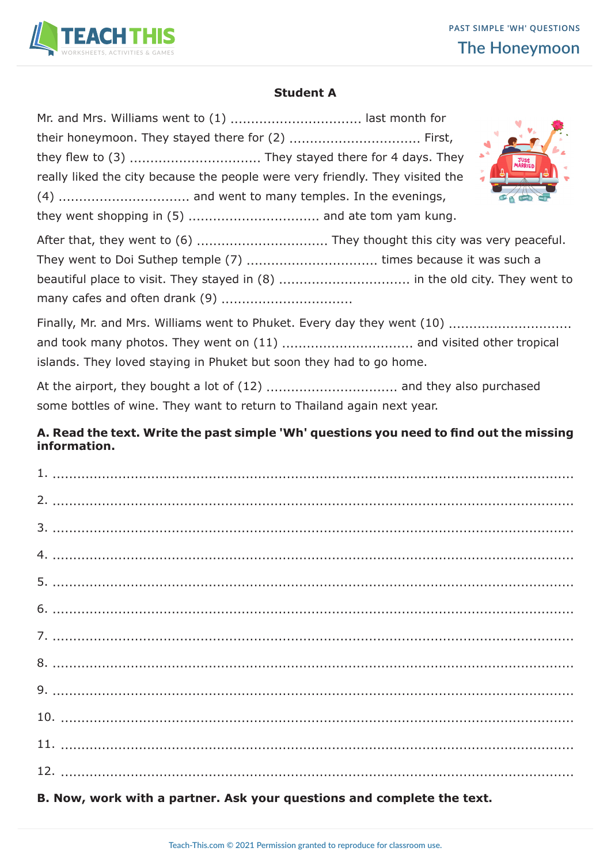

#### **Student A**

| $\mathbf{x}^4$<br>really liked the city because the people were very friendly. They visited the                                                |
|------------------------------------------------------------------------------------------------------------------------------------------------|
| After that, they went to (6)  They thought this city was very peaceful.                                                                        |
| Finally, Mr. and Mrs. Williams went to Phuket. Every day they went (10)<br>islands. They loved staying in Phuket but soon they had to go home. |
| some bottles of wine. They want to return to Thailand again next year.                                                                         |

## **A. Read the text. Write the past simple 'Wh' questions you need to find out the missing information.**

| B. Now, work with a partner. Ask your questions and complete the text. |
|------------------------------------------------------------------------|